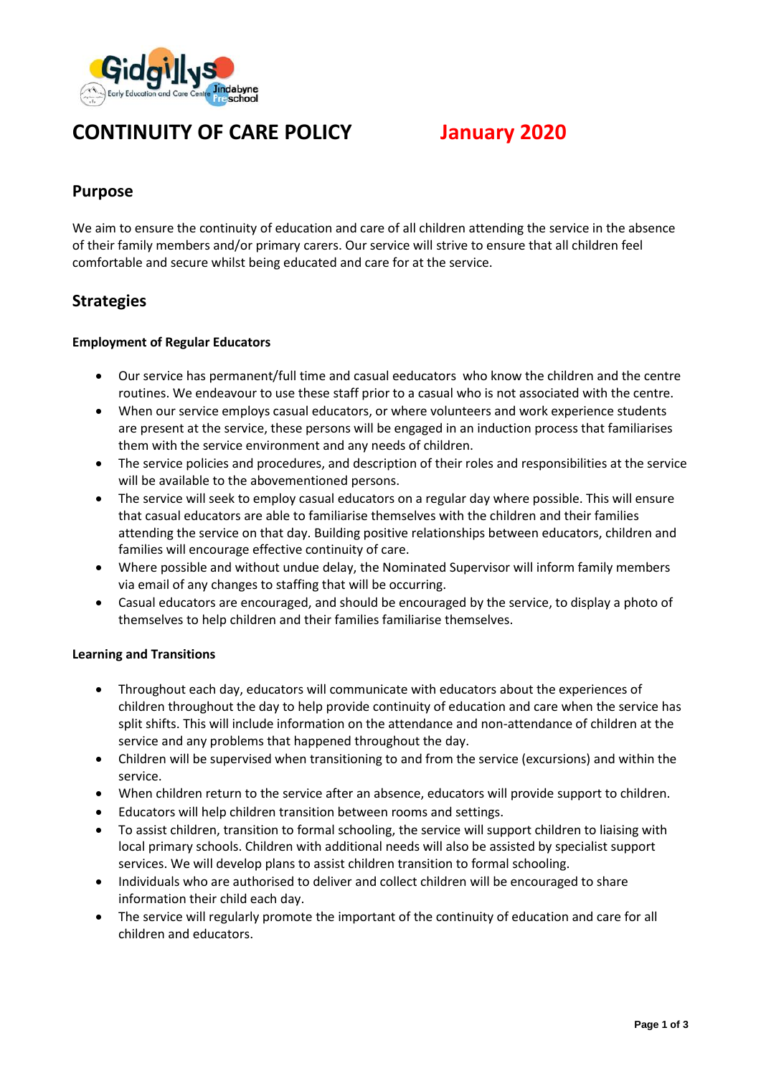

# **CONTINUITY OF CARE POLICY January 2020**

#### **Purpose**

We aim to ensure the continuity of education and care of all children attending the service in the absence of their family members and/or primary carers. Our service will strive to ensure that all children feel comfortable and secure whilst being educated and care for at the service.

#### **Strategies**

#### **Employment of Regular Educators**

- Our service has permanent/full time and casual eeducators who know the children and the centre routines. We endeavour to use these staff prior to a casual who is not associated with the centre.
- When our service employs casual educators, or where volunteers and work experience students are present at the service, these persons will be engaged in an induction process that familiarises them with the service environment and any needs of children.
- The service policies and procedures, and description of their roles and responsibilities at the service will be available to the abovementioned persons.
- The service will seek to employ casual educators on a regular day where possible. This will ensure that casual educators are able to familiarise themselves with the children and their families attending the service on that day. Building positive relationships between educators, children and families will encourage effective continuity of care.
- Where possible and without undue delay, the Nominated Supervisor will inform family members via email of any changes to staffing that will be occurring.
- Casual educators are encouraged, and should be encouraged by the service, to display a photo of themselves to help children and their families familiarise themselves.

#### **Learning and Transitions**

- Throughout each day, educators will communicate with educators about the experiences of children throughout the day to help provide continuity of education and care when the service has split shifts. This will include information on the attendance and non-attendance of children at the service and any problems that happened throughout the day.
- Children will be supervised when transitioning to and from the service (excursions) and within the service.
- When children return to the service after an absence, educators will provide support to children.
- Educators will help children transition between rooms and settings.
- To assist children, transition to formal schooling, the service will support children to liaising with local primary schools. Children with additional needs will also be assisted by specialist support services. We will develop plans to assist children transition to formal schooling.
- Individuals who are authorised to deliver and collect children will be encouraged to share information their child each day.
- The service will regularly promote the important of the continuity of education and care for all children and educators.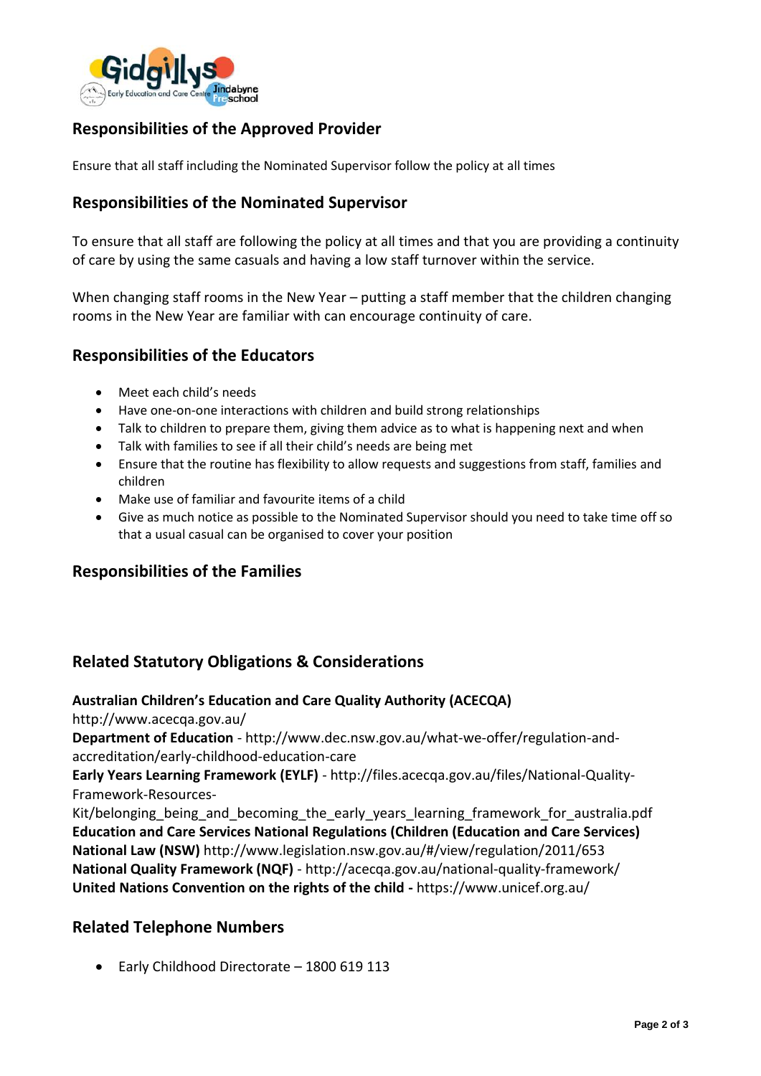

## **Responsibilities of the Approved Provider**

Ensure that all staff including the Nominated Supervisor follow the policy at all times

## **Responsibilities of the Nominated Supervisor**

To ensure that all staff are following the policy at all times and that you are providing a continuity of care by using the same casuals and having a low staff turnover within the service.

When changing staff rooms in the New Year – putting a staff member that the children changing rooms in the New Year are familiar with can encourage continuity of care.

## **Responsibilities of the Educators**

- Meet each child's needs
- Have one-on-one interactions with children and build strong relationships
- Talk to children to prepare them, giving them advice as to what is happening next and when
- Talk with families to see if all their child's needs are being met
- Ensure that the routine has flexibility to allow requests and suggestions from staff, families and children
- Make use of familiar and favourite items of a child
- Give as much notice as possible to the Nominated Supervisor should you need to take time off so that a usual casual can be organised to cover your position

#### **Responsibilities of the Families**

## **Related Statutory Obligations & Considerations**

#### **Australian Children's Education and Care Quality Authority (ACECQA)**

http://www.acecqa.gov.au/

**Department of Education** - http://www.dec.nsw.gov.au/what-we-offer/regulation-andaccreditation/early-childhood-education-care

**Early Years Learning Framework (EYLF)** - http://files.acecqa.gov.au/files/National-Quality-Framework-Resources-

Kit/belonging being and becoming the early years learning framework for australia.pdf **Education and Care Services National Regulations (Children (Education and Care Services) National Law (NSW)** http://www.legislation.nsw.gov.au/#/view/regulation/2011/653 **National Quality Framework (NQF)** - http://acecqa.gov.au/national-quality-framework/ **United Nations Convention on the rights of the child -** https://www.unicef.org.au/

#### **Related Telephone Numbers**

• Early Childhood Directorate – 1800 619 113